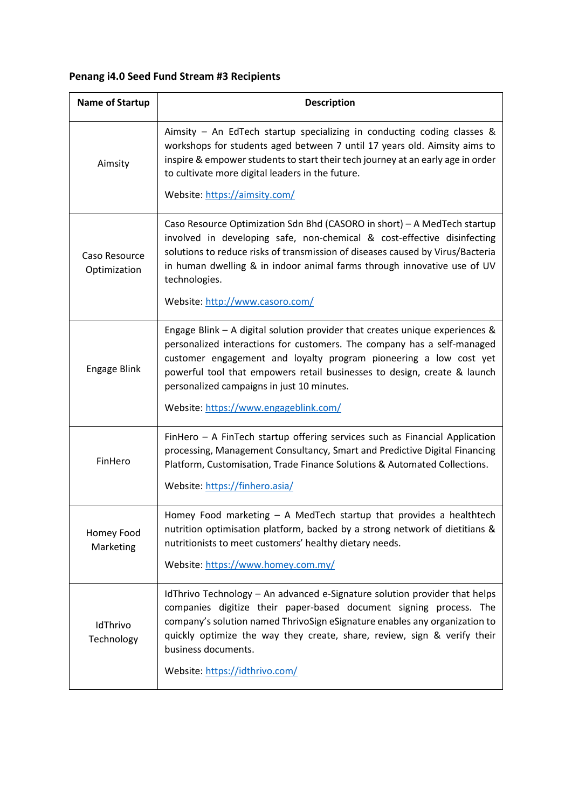## **Penang i4.0 Seed Fund Stream #3 Recipients**

| <b>Name of Startup</b>        | <b>Description</b>                                                                                                                                                                                                                                                                                                                                                   |
|-------------------------------|----------------------------------------------------------------------------------------------------------------------------------------------------------------------------------------------------------------------------------------------------------------------------------------------------------------------------------------------------------------------|
| Aimsity                       | Aimsity - An EdTech startup specializing in conducting coding classes &<br>workshops for students aged between 7 until 17 years old. Aimsity aims to<br>inspire & empower students to start their tech journey at an early age in order<br>to cultivate more digital leaders in the future.<br>Website: https://aimsity.com/                                         |
| Caso Resource<br>Optimization | Caso Resource Optimization Sdn Bhd (CASORO in short) - A MedTech startup<br>involved in developing safe, non-chemical & cost-effective disinfecting<br>solutions to reduce risks of transmission of diseases caused by Virus/Bacteria<br>in human dwelling & in indoor animal farms through innovative use of UV<br>technologies.<br>Website: http://www.casoro.com/ |
|                               |                                                                                                                                                                                                                                                                                                                                                                      |
| Engage Blink                  | Engage Blink $-$ A digital solution provider that creates unique experiences &<br>personalized interactions for customers. The company has a self-managed<br>customer engagement and loyalty program pioneering a low cost yet<br>powerful tool that empowers retail businesses to design, create & launch<br>personalized campaigns in just 10 minutes.             |
|                               | Website: https://www.engageblink.com/                                                                                                                                                                                                                                                                                                                                |
| FinHero                       | FinHero - A FinTech startup offering services such as Financial Application<br>processing, Management Consultancy, Smart and Predictive Digital Financing<br>Platform, Customisation, Trade Finance Solutions & Automated Collections.<br>Website: https://finhero.asia/                                                                                             |
| Homey Food<br>Marketing       | Homey Food marketing - A MedTech startup that provides a healthtech<br>nutrition optimisation platform, backed by a strong network of dietitians &<br>nutritionists to meet customers' healthy dietary needs.<br>Website: https://www.homey.com.my/                                                                                                                  |
| IdThrivo<br>Technology        | IdThrivo Technology - An advanced e-Signature solution provider that helps<br>companies digitize their paper-based document signing process. The<br>company's solution named ThrivoSign eSignature enables any organization to<br>quickly optimize the way they create, share, review, sign & verify their<br>business documents.<br>Website: https://idthrivo.com/  |